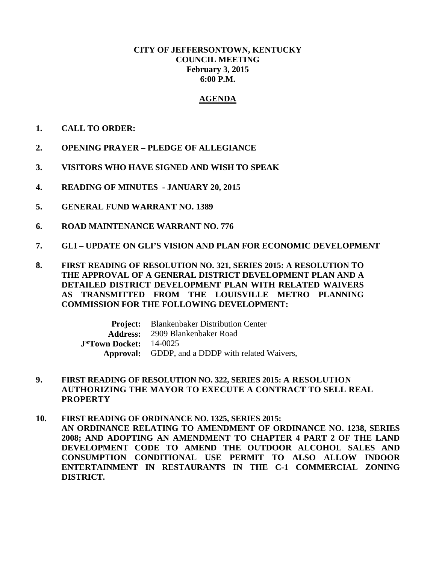## **CITY OF JEFFERSONTOWN, KENTUCKY COUNCIL MEETING February 3, 2015 6:00 P.M.**

## **AGENDA**

- **1. CALL TO ORDER:**
- **2. OPENING PRAYER – PLEDGE OF ALLEGIANCE**
- **3. VISITORS WHO HAVE SIGNED AND WISH TO SPEAK**
- **4. READING OF MINUTES - JANUARY 20, 2015**
- **5. GENERAL FUND WARRANT NO. 1389**
- **6. ROAD MAINTENANCE WARRANT NO. 776**
- **7. GLI – UPDATE ON GLI'S VISION AND PLAN FOR ECONOMIC DEVELOPMENT**
- **8. FIRST READING OF RESOLUTION NO. 321, SERIES 2015: A RESOLUTION TO THE APPROVAL OF A GENERAL DISTRICT DEVELOPMENT PLAN AND A DETAILED DISTRICT DEVELOPMENT PLAN WITH RELATED WAIVERS AS TRANSMITTED FROM THE LOUISVILLE METRO PLANNING COMMISSION FOR THE FOLLOWING DEVELOPMENT:**

**Project:** Blankenbaker Distribution Center **Address:** 2909 Blankenbaker Road **J\*Town Docket:** 14-0025 **Approval:** GDDP, and a DDDP with related Waivers,

- **9. FIRST READING OF RESOLUTION NO. 322, SERIES 2015: A RESOLUTION AUTHORIZING THE MAYOR TO EXECUTE A CONTRACT TO SELL REAL PROPERTY**
- **10. FIRST READING OF ORDINANCE NO. 1325, SERIES 2015: AN ORDINANCE RELATING TO AMENDMENT OF ORDINANCE NO. 1238, SERIES 2008; AND ADOPTING AN AMENDMENT TO CHAPTER 4 PART 2 OF THE LAND DEVELOPMENT CODE TO AMEND THE OUTDOOR ALCOHOL SALES AND CONSUMPTION CONDITIONAL USE PERMIT TO ALSO ALLOW INDOOR ENTERTAINMENT IN RESTAURANTS IN THE C-1 COMMERCIAL ZONING DISTRICT.**